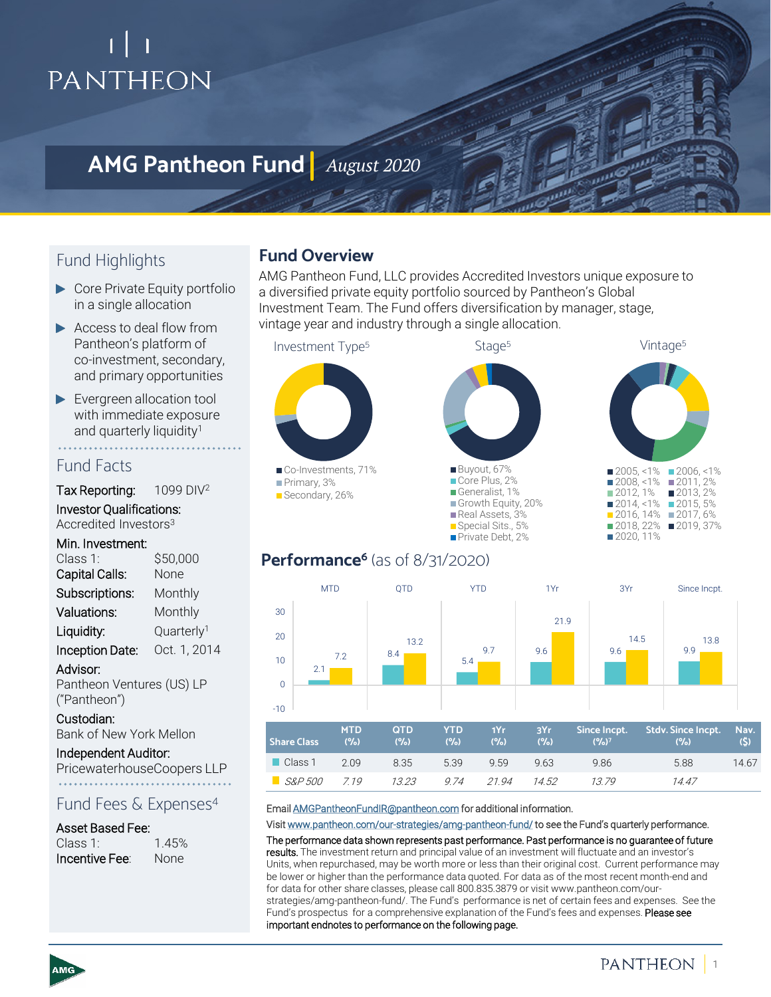# PANTHEON

# **AMG Pantheon Fund** *August 2020*

## Fund Highlights

- ▶ Core Private Equity portfolio in a single allocation
- Access to deal flow from Pantheon's platform of co-investment, secondary, and primary opportunities
- Evergreen allocation tool with immediate exposure and quarterly liquidity<sup>1</sup>

### Fund Facts

Tax Reporting: 1099 DIV<sup>2</sup>

Investor Qualifications: Accredited Investors3

#### Min. Investment:

| Class 1:               | \$50,000               |  |
|------------------------|------------------------|--|
| Capital Calls:         | None                   |  |
| Subscriptions:         | Monthly                |  |
| Valuations:            | Monthly                |  |
| Liquidity:             | Quarterly <sup>1</sup> |  |
| <b>Inception Date:</b> | Oct. 1, 2014           |  |
|                        |                        |  |

Advisor: Pantheon Ventures (US) LP ("Pantheon")

Custodian: Bank of New York Mellon

Independent Auditor: PricewaterhouseCoopers LLP

### Fund Fees & Expenses<sup>4</sup>

#### Asset Based Fee:

| Class 1:              | 1.45%       |
|-----------------------|-------------|
| <b>Incentive Fee:</b> | <b>None</b> |

### **Fund Overview**

AMG Pantheon Fund, LLC provides Accredited Investors unique exposure to a diversified private equity portfolio sourced by Pantheon's Global Investment Team. The Fund offers diversification by manager, stage, vintage year and industry through a single allocation.



## Performance<sup>6</sup> (as of 8/31/2020)



#### Email [AMGPantheonFundIR@pantheon.com](mailto:AMGPantheonFundIR@pantheon.com) for additional information.

Visit [www.pantheon.com/our-strategies/amg-pantheon-fund/](http://www.pantheon.com/our-strategies/amg-pantheon-fund/) to see the Fund's quarterly performance.

The performance data shown represents past performance. Past performance is no guarantee of future results. The investment return and principal value of an investment will fluctuate and an investor's Units, when repurchased, may be worth more or less than their original cost. Current performance may be lower or higher than the performance data quoted. For data as of the most recent month-end and for data for other share classes, please call 800.835.3879 or visit www.pantheon.com/ourstrategies/amg-pantheon-fund/. The Fund's performance is net of certain fees and expenses. See the Fund's prospectus for a comprehensive explanation of the Fund's fees and expenses. Please see important endnotes to performance on the following page.

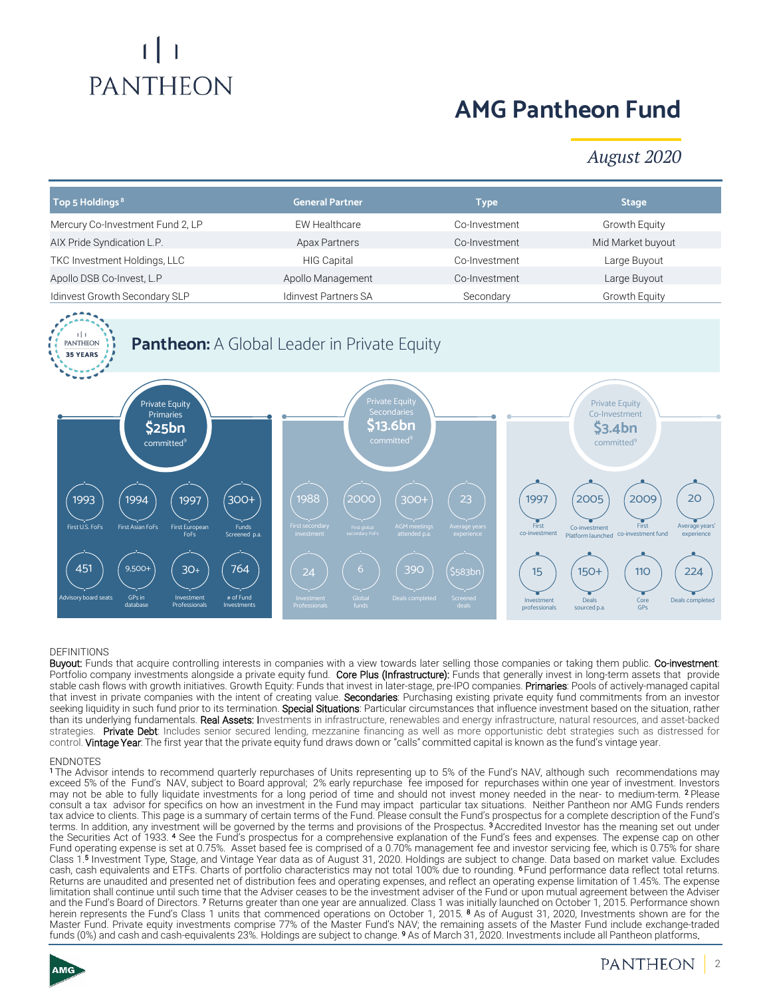# **PANTHEON**

# **AMG Pantheon Fund**

## *August 2020*

| Top 5 Holdings <sup>8</sup>                                                                                                              | <b>General Partner</b>                                                            | <b>Type</b>                                                                                                         | <b>Stage</b>                                                                                                         |
|------------------------------------------------------------------------------------------------------------------------------------------|-----------------------------------------------------------------------------------|---------------------------------------------------------------------------------------------------------------------|----------------------------------------------------------------------------------------------------------------------|
| Mercury Co-Investment Fund 2, LP                                                                                                         | <b>EW Healthcare</b>                                                              | Co-Investment                                                                                                       | Growth Equity                                                                                                        |
| AIX Pride Syndication L.P.                                                                                                               | <b>Apax Partners</b>                                                              | Co-Investment                                                                                                       | Mid Market buyout                                                                                                    |
| TKC Investment Holdings, LLC                                                                                                             | <b>HIG Capital</b>                                                                | Co-Investment                                                                                                       | Large Buyout                                                                                                         |
| Apollo DSB Co-Invest, L.P                                                                                                                | Apollo Management                                                                 | Co-Investment                                                                                                       | Large Buyout                                                                                                         |
| Idinvest Growth Secondary SLP                                                                                                            | <b>Idinvest Partners SA</b>                                                       | Secondary                                                                                                           | Growth Equity                                                                                                        |
| <b>PANTHEON</b><br><b>35 YEARS</b>                                                                                                       | <b>Pantheon:</b> A Global Leader in Private Equity                                |                                                                                                                     |                                                                                                                      |
| <b>Private Equity</b><br>Primaries<br>\$25bn<br>committed <sup>9</sup>                                                                   | <b>Private Equity</b><br>Secondaries<br><b>\$13.6bn</b><br>committed <sup>9</sup> |                                                                                                                     | <b>Private Equity</b><br>Co-Investment<br>\$3.4bn<br>committed <sup>9</sup>                                          |
| $300+$<br>1994<br>1993<br>1997<br>First U.S. FoFs<br>First Asian FoFs<br>First European<br>Funds<br>FoFs<br>Screened p.a.                | 1988<br>2000<br>First secondary<br>First global<br>secondary FoFs<br>investment   | 23<br>1997<br>300+<br>First<br><b>AGM</b> meetings<br>Average years<br>co-investment<br>attended p.a.<br>experience | 2005<br>2009<br>20<br>Average years'<br>First<br>Co-investment<br>Platform launched co-investment fund<br>experience |
| 764<br>451<br>$9,500+$<br>$30+$<br>Advisory board seats<br>GPs in<br>Investment<br># of Fund<br>database<br>Professionals<br>Investments | 6<br>24<br>Global<br>Investment<br><b>funds</b><br>Professionals                  | 390<br><b>\$583bn</b><br>15<br>Deals completed<br>Screened<br>Investment<br>deals<br>professionals                  | $150+$<br><b>110</b><br>224<br>Deals<br>Core<br>Deals completed<br>sourced p.a.<br><b>GPs</b>                        |

#### DEFINITIONS

Buyout: Funds that acquire controlling interests in companies with a view towards later selling those companies or taking them public. Co-investment: Portfolio company investments alongside a private equity fund. Core Plus (Infrastructure): Funds that generally invest in long-term assets that provide stable cash flows with growth initiatives. Growth Equity: Funds that invest in later-stage, pre-IPO companies. Primaries: Pools of actively-managed capital that invest in private companies with the intent of creating value. Secondaries: Purchasing existing private equity fund commitments from an investor seeking liquidity in such fund prior to its termination. Special Situations: Particular circumstances that influence investment based on the situation, rather than its underlying fundamentals. Real Assets: Investments in infrastructure, renewables and energy infrastructure, natural resources, and asset-backed strategies. Private Debt: Includes senior secured lending, mezzanine financing as well as more opportunistic debt strategies such as distressed for control. Vintage Year: The first year that the private equity fund draws down or "calls" committed capital is known as the fund's vintage year.

#### **ENDNOTES**

<sup>1</sup> The Advisor intends to recommend quarterly repurchases of Units representing up to 5% of the Fund's NAV, although such recommendations may exceed 5% of the Fund's NAV, subject to Board approval; 2% early repurchase fee imposed for repurchases within one year of investment. Investors may not be able to fully liquidate investments for a long period of time and should not invest money needed in the near- to medium-term. <sup>2</sup> Please consult a tax advisor for specifics on how an investment in the Fund may impact particular tax situations. Neither Pantheon nor AMG Funds renders tax advice to clients. This page is a summary of certain terms of the Fund. Please consult the Fund's prospectus for a complete description of the Fund's terms. In addition, any investment will be governed by the terms and provisions of the Prospectus. <sup>3</sup> Accredited Investor has the meaning set out under the Securities Act of 1933. <sup>4</sup> See the Fund's prospectus for a comprehensive explanation of the Fund's fees and expenses. The expense cap on other Fund operating expense is set at 0.75%. Asset based fee is comprised of a 0.70% management fee and investor servicing fee, which is 0.75% for share Class 1. <sup>5</sup> Investment Type, Stage, and Vintage Year data as of August 31, 2020. Holdings are subject to change. Data based on market value. Excludes cash, cash equivalents and ETFs. Charts of portfolio characteristics may not total 100% due to rounding. <sup>6</sup> Fund performance data reflect total returns. Returns are unaudited and presented net of distribution fees and operating expenses, and reflect an operating expense limitation of 1.45%. The expense limitation shall continue until such time that the Adviser ceases to be the investment adviser of the Fund or upon mutual agreement between the Adviser and the Fund's Board of Directors. <sup>7</sup> Returns greater than one year are annualized. Class 1 was initially launched on October 1, 2015. Performance shown herein represents the Fund's Class 1 units that commenced operations on October 1, 2015. <sup>8</sup> As of August 31, 2020, Investments shown are for the Master Fund. Private equity investments comprise 77% of the Master Fund's NAV; the remaining assets of the Master Fund include exchange-traded funds (0%) and cash and cash-equivalents 23%. Holdings are subject to change. <sup>9</sup> As of March 31, 2020. Investments include all Pantheon platforms.